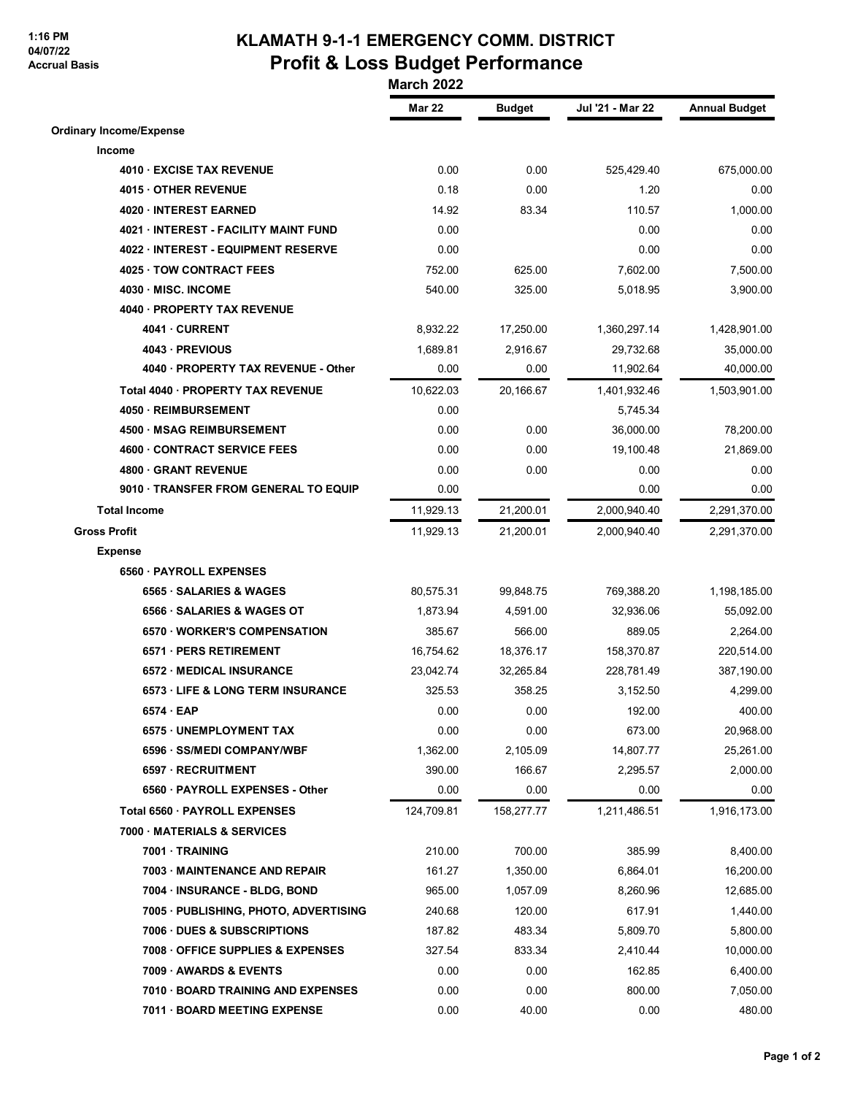## **1:16 PM 04/07/22 Accrual Basis**

## **KLAMATH 9-1-1 EMERGENCY COMM. DISTRICT Profit & Loss Budget Performance**

 **March 2022**

|                                            | <b>Mar 22</b> | <b>Budget</b> | Jul '21 - Mar 22 | <b>Annual Budget</b> |
|--------------------------------------------|---------------|---------------|------------------|----------------------|
| <b>Ordinary Income/Expense</b>             |               |               |                  |                      |
| Income                                     |               |               |                  |                      |
| 4010 EXCISE TAX REVENUE                    | 0.00          | 0.00          | 525,429.40       | 675,000.00           |
| 4015 OTHER REVENUE                         | 0.18          | 0.00          | 1.20             | 0.00                 |
| 4020 · INTEREST EARNED                     | 14.92         | 83.34         | 110.57           | 1,000.00             |
| 4021 INTEREST - FACILITY MAINT FUND        | 0.00          |               | 0.00             | 0.00                 |
| 4022 · INTEREST - EQUIPMENT RESERVE        | 0.00          |               | 0.00             | 0.00                 |
| 4025 TOW CONTRACT FEES                     | 752.00        | 625.00        | 7,602.00         | 7,500.00             |
| 4030 MISC. INCOME                          | 540.00        | 325.00        | 5,018.95         | 3,900.00             |
| 4040 · PROPERTY TAX REVENUE                |               |               |                  |                      |
| 4041 CURRENT                               | 8,932.22      | 17,250.00     | 1,360,297.14     | 1,428,901.00         |
| 4043 - PREVIOUS                            | 1,689.81      | 2,916.67      | 29,732.68        | 35,000.00            |
| 4040 · PROPERTY TAX REVENUE - Other        | 0.00          | 0.00          | 11,902.64        | 40,000.00            |
| Total 4040 · PROPERTY TAX REVENUE          | 10,622.03     | 20,166.67     | 1,401,932.46     | 1,503,901.00         |
| 4050 · REIMBURSEMENT                       | 0.00          |               | 5,745.34         |                      |
| 4500 · MSAG REIMBURSEMENT                  | 0.00          | 0.00          | 36,000.00        | 78,200.00            |
| <b>4600 CONTRACT SERVICE FEES</b>          | 0.00          | 0.00          | 19,100.48        | 21,869.00            |
| 4800 GRANT REVENUE                         | 0.00          | 0.00          | 0.00             | 0.00                 |
| 9010 · TRANSFER FROM GENERAL TO EQUIP      | 0.00          |               | 0.00             | 0.00                 |
| <b>Total Income</b>                        | 11,929.13     | 21,200.01     | 2,000,940.40     | 2,291,370.00         |
| <b>Gross Profit</b>                        | 11,929.13     | 21,200.01     | 2,000,940.40     | 2,291,370.00         |
| <b>Expense</b>                             |               |               |                  |                      |
| 6560 PAYROLL EXPENSES                      |               |               |                  |                      |
| 6565 · SALARIES & WAGES                    | 80,575.31     | 99,848.75     | 769,388.20       | 1,198,185.00         |
| 6566 SALARIES & WAGES OT                   | 1,873.94      | 4,591.00      | 32,936.06        | 55,092.00            |
| 6570 WORKER'S COMPENSATION                 | 385.67        | 566.00        | 889.05           | 2,264.00             |
| 6571 · PERS RETIREMENT                     | 16,754.62     | 18,376.17     | 158,370.87       | 220,514.00           |
| <b>6572 MEDICAL INSURANCE</b>              | 23,042.74     | 32,265.84     | 228,781.49       | 387,190.00           |
| <b>6573 LIFE &amp; LONG TERM INSURANCE</b> | 325.53        | 358.25        | 3,152.50         | 4,299.00             |
| 6574 EAP                                   | 0.00          | 0.00          | 192.00           | 400.00               |
| 6575 · UNEMPLOYMENT TAX                    | 0.00          | 0.00          | 673.00           | 20,968.00            |
| 6596 · SS/MEDI COMPANY/WBF                 | 1,362.00      | 2,105.09      | 14,807.77        | 25,261.00            |
| 6597 · RECRUITMENT                         | 390.00        | 166.67        | 2,295.57         | 2,000.00             |
| 6560 · PAYROLL EXPENSES - Other            | 0.00          | 0.00          | 0.00             | 0.00                 |
| Total 6560 PAYROLL EXPENSES                | 124,709.81    | 158,277.77    | 1,211,486.51     | 1,916,173.00         |
| 7000 · MATERIALS & SERVICES                |               |               |                  |                      |
| 7001 · TRAINING                            | 210.00        | 700.00        | 385.99           | 8,400.00             |
| 7003 MAINTENANCE AND REPAIR                | 161.27        | 1,350.00      | 6,864.01         | 16,200.00            |
| 7004 · INSURANCE - BLDG, BOND              | 965.00        | 1,057.09      | 8,260.96         | 12,685.00            |
| 7005 · PUBLISHING, PHOTO, ADVERTISING      | 240.68        | 120.00        | 617.91           | 1,440.00             |
| 7006 DUES & SUBSCRIPTIONS                  | 187.82        | 483.34        | 5,809.70         | 5,800.00             |
| 7008 OFFICE SUPPLIES & EXPENSES            | 327.54        | 833.34        | 2,410.44         | 10,000.00            |
| 7009 AWARDS & EVENTS                       | 0.00          | 0.00          | 162.85           | 6,400.00             |
| 7010 BOARD TRAINING AND EXPENSES           | 0.00          | 0.00          | 800.00           | 7,050.00             |
| 7011 · BOARD MEETING EXPENSE               | 0.00          | 40.00         | 0.00             | 480.00               |